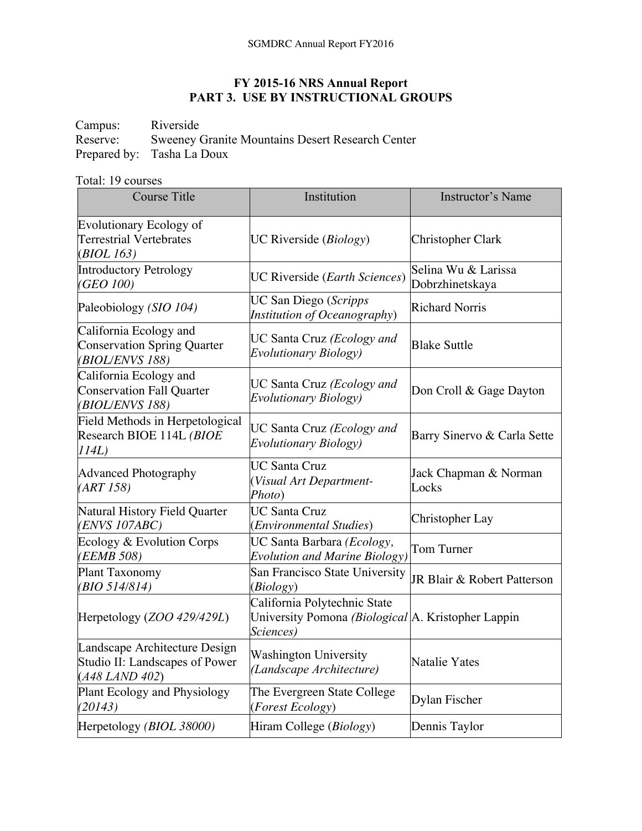## **FY 2015-16 NRS Annual Report PART 3. USE BY INSTRUCTIONAL GROUPS**

Campus: Riverside<br>Reserve: Sweeney 0 Sweeney Granite Mountains Desert Research Center Prepared by: Tasha La Doux

## Total: 19 courses

| <b>Course Title</b>                                                                   | Institution                                                                                     | Instructor's Name                      |
|---------------------------------------------------------------------------------------|-------------------------------------------------------------------------------------------------|----------------------------------------|
| <b>Evolutionary Ecology of</b><br><b>Terrestrial Vertebrates</b><br>(BIOL 163)        | UC Riverside ( <i>Biology</i> )                                                                 | Christopher Clark                      |
| Introductory Petrology<br>(GEO 100)                                                   | UC Riverside (Earth Sciences)                                                                   | Selina Wu & Larissa<br>Dobrzhinetskaya |
| Paleobiology (SIO 104)                                                                | UC San Diego (Scripps<br>Institution of Oceanography)                                           | <b>Richard Norris</b>                  |
| California Ecology and<br><b>Conservation Spring Quarter</b><br>(BIOL/ENVS 188)       | UC Santa Cruz (Ecology and<br><b>Evolutionary Biology</b> )                                     | <b>Blake Suttle</b>                    |
| California Ecology and<br><b>Conservation Fall Quarter</b><br>(BIOL/ENVS 188)         | UC Santa Cruz (Ecology and<br><b>Evolutionary Biology</b> )                                     | Don Croll & Gage Dayton                |
| Field Methods in Herpetological<br>Research BIOE 114L (BIOE<br>114L)                  | UC Santa Cruz (Ecology and<br>Evolutionary Biology)                                             | Barry Sinervo & Carla Sette            |
| <b>Advanced Photography</b><br>(ART 158)                                              | <b>UC Santa Cruz</b><br>(Visual Art Department-<br>Photo)                                       | Jack Chapman & Norman<br>Locks         |
| Natural History Field Quarter<br>(ENVS 107ABC)                                        | <b>UC Santa Cruz</b><br>(Environmental Studies)                                                 | Christopher Lay                        |
| Ecology & Evolution Corps<br>(EEMB 508)                                               | UC Santa Barbara (Ecology,<br><b>Evolution and Marine Biology</b> )                             | Tom Turner                             |
| Plant Taxonomy<br>(BIO 514/814)                                                       | San Francisco State University<br>(Biology)                                                     | JR Blair & Robert Patterson            |
| Herpetology (ZOO 429/429L)                                                            | California Polytechnic State<br>University Pomona (Biological A. Kristopher Lappin<br>Sciences) |                                        |
| Landscape Architecture Design<br>Studio II: Landscapes of Power<br>$(A48$ LAND $402)$ | <b>Washington University</b><br>(Landscape Architecture)                                        | Natalie Yates                          |
| Plant Ecology and Physiology<br>(20143)                                               | The Evergreen State College<br>(Forest Ecology)                                                 | Dylan Fischer                          |
| Herpetology (BIOL 38000)                                                              | Hiram College (Biology)                                                                         | Dennis Taylor                          |